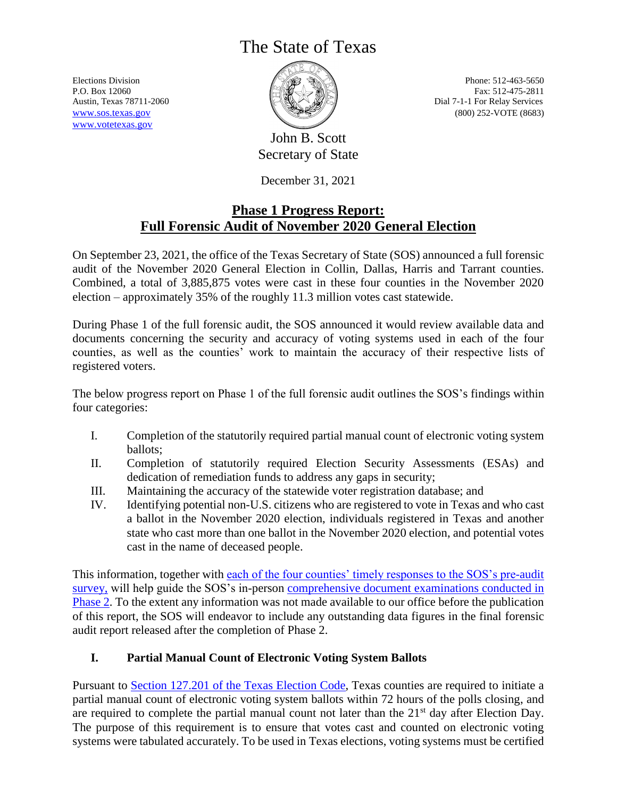# The State of Texas

[www.votetexas.gov](http://www.votetexas.gov/)



Elections Division **Phone: 512-463-5650** P.O. Box 12060 Fax: 512-475-2811 Austin, Texas 78711-2060 **Dial 7-1-1** For Relay Services [www.sos.texas.gov](http://www.sos.texas.gov/) (800) 252-VOTE (8683)

> John B. Scott Secretary of State

December 31, 2021

# **Phase 1 Progress Report: Full Forensic Audit of November 2020 General Election**

On September 23, 2021, the office of the Texas Secretary of State (SOS) announced a full forensic audit of the November 2020 General Election in Collin, Dallas, Harris and Tarrant counties. Combined, a total of 3,885,875 votes were cast in these four counties in the November 2020 election – approximately 35% of the roughly 11.3 million votes cast statewide.

During Phase 1 of the full forensic audit, the SOS announced it would review available data and documents concerning the security and accuracy of voting systems used in each of the four counties, as well as the counties' work to maintain the accuracy of their respective lists of registered voters.

The below progress report on Phase 1 of the full forensic audit outlines the SOS's findings within four categories:

- I. Completion of the statutorily required partial manual count of electronic voting system ballots;
- II. Completion of statutorily required Election Security Assessments (ESAs) and dedication of remediation funds to address any gaps in security;
- III. Maintaining the accuracy of the statewide voter registration database; and
- IV. Identifying potential non-U.S. citizens who are registered to vote in Texas and who cast a ballot in the November 2020 election, individuals registered in Texas and another state who cast more than one ballot in the November 2020 election, and potential votes cast in the name of deceased people.

This information, together with [each of the four counties' timely responses to the SOS's pre-audit](https://www.sos.texas.gov/elections/forms/initial-audit-survey-responses.pdf)  [survey,](https://www.sos.texas.gov/elections/forms/initial-audit-survey-responses.pdf) will help guide the SOS's in-person [comprehensive document examinations conducted in](https://www.sos.texas.gov/elections/forms/forensic-audit-phase-2.pdf)  [Phase 2.](https://www.sos.texas.gov/elections/forms/forensic-audit-phase-2.pdf) To the extent any information was not made available to our office before the publication of this report, the SOS will endeavor to include any outstanding data figures in the final forensic audit report released after the completion of Phase 2.

# **I. Partial Manual Count of Electronic Voting System Ballots**

Pursuant to [Section 127.201 of the Texas Election Code,](https://statutes.capitol.texas.gov/Docs/EL/htm/EL.127.HTM#127.201) Texas counties are required to initiate a partial manual count of electronic voting system ballots within 72 hours of the polls closing, and are required to complete the partial manual count not later than the 21<sup>st</sup> day after Election Day. The purpose of this requirement is to ensure that votes cast and counted on electronic voting systems were tabulated accurately. To be used in Texas elections, voting systems must be certified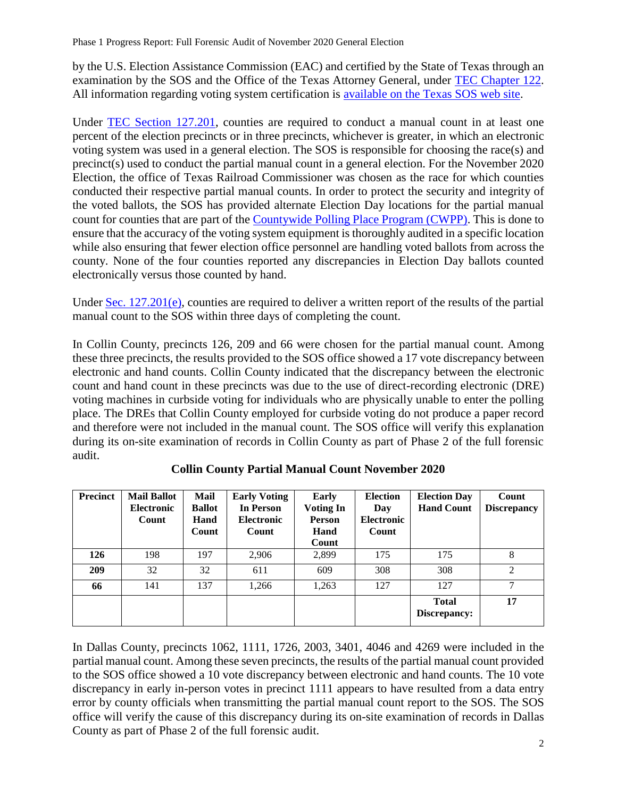by the U.S. Election Assistance Commission (EAC) and certified by the State of Texas through an examination by the SOS and the Office of the Texas Attorney General, under [TEC Chapter 122.](https://statutes.capitol.texas.gov/Docs/EL/htm/EL.122.htm) All information regarding voting system certification is [available on the Texas SOS web site.](https://www.sos.texas.gov/elections/laws/certinfobyvendor.shtml)

Under [TEC Section 127.201,](https://statutes.capitol.texas.gov/Docs/EL/htm/EL.127.HTM#127.201) counties are required to conduct a manual count in at least one percent of the election precincts or in three precincts, whichever is greater, in which an electronic voting system was used in a general election. The SOS is responsible for choosing the race(s) and precinct(s) used to conduct the partial manual count in a general election. For the November 2020 Election, the office of Texas Railroad Commissioner was chosen as the race for which counties conducted their respective partial manual counts. In order to protect the security and integrity of the voted ballots, the SOS has provided alternate Election Day locations for the partial manual count for counties that are part of the [Countywide Polling Place Program \(CWPP\).](https://www.sos.state.tx.us/elections/laws/countywide-polling-place-program.shtml) This is done to ensure that the accuracy of the voting system equipment is thoroughly audited in a specific location while also ensuring that fewer election office personnel are handling voted ballots from across the county. None of the four counties reported any discrepancies in Election Day ballots counted electronically versus those counted by hand.

Under [Sec. 127.201\(e\),](https://statutes.capitol.texas.gov/Docs/EL/htm/EL.127.HTM#127.201) counties are required to deliver a written report of the results of the partial manual count to the SOS within three days of completing the count.

In Collin County, precincts 126, 209 and 66 were chosen for the partial manual count. Among these three precincts, the results provided to the SOS office showed a 17 vote discrepancy between electronic and hand counts. Collin County indicated that the discrepancy between the electronic count and hand count in these precincts was due to the use of direct-recording electronic (DRE) voting machines in curbside voting for individuals who are physically unable to enter the polling place. The DREs that Collin County employed for curbside voting do not produce a paper record and therefore were not included in the manual count. The SOS office will verify this explanation during its on-site examination of records in Collin County as part of Phase 2 of the full forensic audit.

| <b>Precinct</b> | <b>Mail Ballot</b><br><b>Electronic</b><br>Count | Mail<br><b>Ballot</b><br>Hand<br>Count | <b>Early Voting</b><br>In Person<br><b>Electronic</b><br>Count | Early<br>Voting In<br>Person<br>Hand<br>Count | <b>Election</b><br>Day<br><b>Electronic</b><br>Count | <b>Election Day</b><br><b>Hand Count</b> | Count<br><b>Discrepancy</b> |
|-----------------|--------------------------------------------------|----------------------------------------|----------------------------------------------------------------|-----------------------------------------------|------------------------------------------------------|------------------------------------------|-----------------------------|
| 126             | 198                                              | 197                                    | 2,906                                                          | 2,899                                         | 175                                                  | 175                                      | 8                           |
| 209             | 32                                               | 32                                     | 611                                                            | 609                                           | 308                                                  | 308                                      | 2                           |
| 66              | 141                                              | 137                                    | 1,266                                                          | 1,263                                         | 127                                                  | 127                                      | 7                           |
|                 |                                                  |                                        |                                                                |                                               |                                                      | <b>Total</b><br>Discrepancy:             | 17                          |

**Collin County Partial Manual Count November 2020**

In Dallas County, precincts 1062, 1111, 1726, 2003, 3401, 4046 and 4269 were included in the partial manual count. Among these seven precincts, the results of the partial manual count provided to the SOS office showed a 10 vote discrepancy between electronic and hand counts. The 10 vote discrepancy in early in-person votes in precinct 1111 appears to have resulted from a data entry error by county officials when transmitting the partial manual count report to the SOS. The SOS office will verify the cause of this discrepancy during its on-site examination of records in Dallas County as part of Phase 2 of the full forensic audit.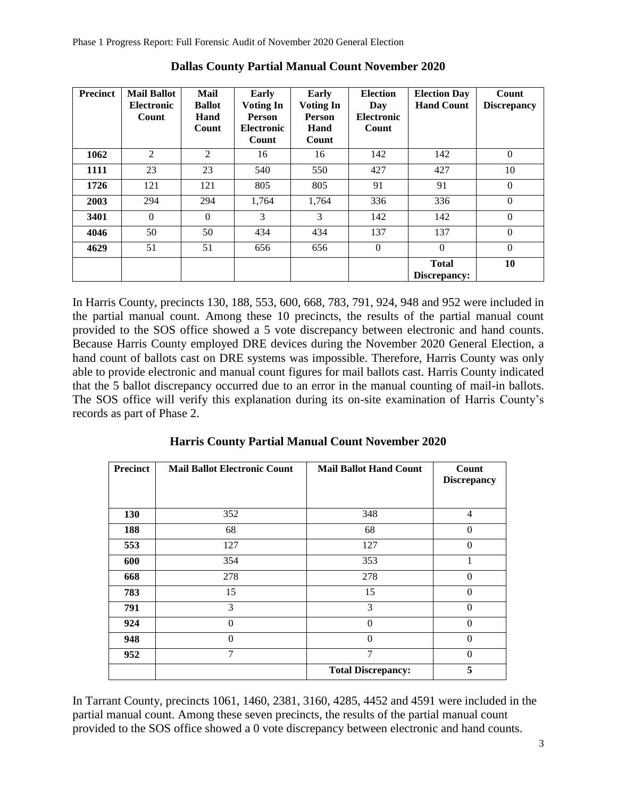| <b>Precinct</b> | <b>Mail Ballot</b><br><b>Electronic</b><br>Count | Mail<br><b>Ballot</b><br>Hand<br>Count | Early<br><b>Voting In</b><br>Person<br><b>Electronic</b><br>Count | Early<br><b>Voting In</b><br><b>Person</b><br>Hand<br>Count | <b>Election</b><br>Day<br><b>Electronic</b><br>Count | <b>Election Day</b><br><b>Hand Count</b> | Count<br><b>Discrepancy</b> |
|-----------------|--------------------------------------------------|----------------------------------------|-------------------------------------------------------------------|-------------------------------------------------------------|------------------------------------------------------|------------------------------------------|-----------------------------|
| 1062            | $\overline{2}$                                   | 2                                      | 16                                                                | 16                                                          | 142                                                  | 142                                      | $\Omega$                    |
| 1111            | 23                                               | 23                                     | 540                                                               | 550                                                         | 427                                                  | 427                                      | 10                          |
| 1726            | 121                                              | 121                                    | 805                                                               | 805                                                         | 91                                                   | 91                                       | $\Omega$                    |
| 2003            | 294                                              | 294                                    | 1,764                                                             | 1,764                                                       | 336                                                  | 336                                      | $\Omega$                    |
| 3401            | $\Omega$                                         | $\Omega$                               | 3                                                                 | 3                                                           | 142                                                  | 142                                      | $\Omega$                    |
| 4046            | 50                                               | 50                                     | 434                                                               | 434                                                         | 137                                                  | 137                                      | $\Omega$                    |
| 4629            | 51                                               | 51                                     | 656                                                               | 656                                                         | $\Omega$                                             | $\theta$                                 | $\Omega$                    |
|                 |                                                  |                                        |                                                                   |                                                             |                                                      | <b>Total</b><br>Discrepancy:             | 10                          |

**Dallas County Partial Manual Count November 2020**

In Harris County, precincts 130, 188, 553, 600, 668, 783, 791, 924, 948 and 952 were included in the partial manual count. Among these 10 precincts, the results of the partial manual count provided to the SOS office showed a 5 vote discrepancy between electronic and hand counts. Because Harris County employed DRE devices during the November 2020 General Election, a hand count of ballots cast on DRE systems was impossible. Therefore, Harris County was only able to provide electronic and manual count figures for mail ballots cast. Harris County indicated that the 5 ballot discrepancy occurred due to an error in the manual counting of mail-in ballots. The SOS office will verify this explanation during its on-site examination of Harris County's records as part of Phase 2.

| <b>Precinct</b> | <b>Mail Ballot Electronic Count</b> | <b>Mail Ballot Hand Count</b> | Count<br><b>Discrepancy</b> |
|-----------------|-------------------------------------|-------------------------------|-----------------------------|
|                 |                                     |                               |                             |
| 130             | 352                                 | 348                           | $\overline{4}$              |
| 188             | 68                                  | 68                            | $\theta$                    |
| 553             | 127                                 | 127                           | $\theta$                    |
| 600             | 354                                 | 353                           | 1                           |
| 668             | 278                                 | 278                           | $\theta$                    |
| 783             | 15                                  | 15                            | $\theta$                    |
| 791             | 3                                   | 3                             | $\theta$                    |
| 924             | 0                                   | $\Omega$                      | $\theta$                    |
| 948             | 0                                   | $\Omega$                      | $\theta$                    |
| 952             | 7                                   | 7                             | $\theta$                    |
|                 |                                     | <b>Total Discrepancy:</b>     | 5                           |

**Harris County Partial Manual Count November 2020**

In Tarrant County, precincts 1061, 1460, 2381, 3160, 4285, 4452 and 4591 were included in the partial manual count. Among these seven precincts, the results of the partial manual count provided to the SOS office showed a 0 vote discrepancy between electronic and hand counts.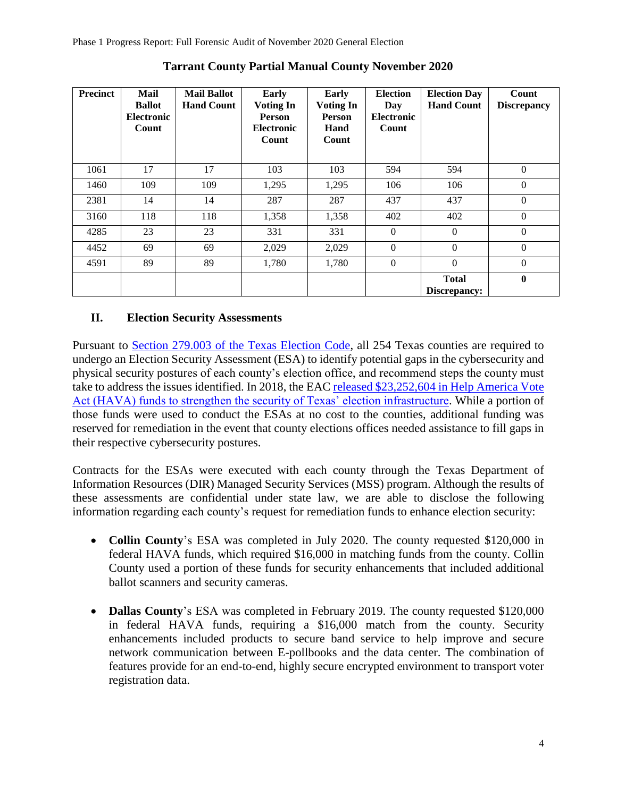| <b>Precinct</b> | Mail<br><b>Ballot</b><br><b>Electronic</b><br>Count | <b>Mail Ballot</b><br><b>Hand Count</b> | Early<br><b>Voting In</b><br><b>Person</b><br><b>Electronic</b><br>Count | Early<br>Voting In<br><b>Person</b><br>Hand<br>Count | <b>Election</b><br>Day<br><b>Electronic</b><br>Count | <b>Election Day</b><br><b>Hand Count</b> | Count<br><b>Discrepancy</b> |
|-----------------|-----------------------------------------------------|-----------------------------------------|--------------------------------------------------------------------------|------------------------------------------------------|------------------------------------------------------|------------------------------------------|-----------------------------|
| 1061            | 17                                                  | 17                                      | 103                                                                      | 103                                                  | 594                                                  | 594                                      | $\Omega$                    |
| 1460            | 109                                                 | 109                                     | 1,295                                                                    | 1,295                                                | 106                                                  | 106                                      | $\Omega$                    |
| 2381            | 14                                                  | 14                                      | 287                                                                      | 287                                                  | 437                                                  | 437                                      | $\Omega$                    |
| 3160            | 118                                                 | 118                                     | 1,358                                                                    | 1,358                                                | 402                                                  | 402                                      | $\theta$                    |
| 4285            | 23                                                  | 23                                      | 331                                                                      | 331                                                  | $\Omega$                                             | $\Omega$                                 | $\Omega$                    |
| 4452            | 69                                                  | 69                                      | 2,029                                                                    | 2,029                                                | $\theta$                                             | $\Omega$                                 | $\Omega$                    |
| 4591            | 89                                                  | 89                                      | 1,780                                                                    | 1,780                                                | $\theta$                                             | $\Omega$                                 | $\Omega$                    |
|                 |                                                     |                                         |                                                                          |                                                      |                                                      | <b>Total</b><br>Discrepancy:             | $\mathbf{0}$                |

**Tarrant County Partial Manual County November 2020**

# **II. Election Security Assessments**

Pursuant to Section [279.003 of the Texas Election Code,](https://statutes.capitol.texas.gov/Docs/EL/htm/EL.279.htm#279.003) all 254 Texas counties are required to undergo an Election Security Assessment (ESA) to identify potential gaps in the cybersecurity and physical security postures of each county's election office, and recommend steps the county must take to address the issues identified. In 2018, the EAC [released \\$23,252,604 in Help America Vote](https://www.sos.texas.gov/elections/hava/cover-letter-Rolando-Pablos-EAC.pdf)  [Act \(HAVA\) funds to strengthen the security of Texas' election infrastructure.](https://www.sos.texas.gov/elections/hava/cover-letter-Rolando-Pablos-EAC.pdf) While a portion of those funds were used to conduct the ESAs at no cost to the counties, additional funding was reserved for remediation in the event that county elections offices needed assistance to fill gaps in their respective cybersecurity postures.

Contracts for the ESAs were executed with each county through the Texas Department of Information Resources (DIR) Managed Security Services (MSS) program. Although the results of these assessments are confidential under state law, we are able to disclose the following information regarding each county's request for remediation funds to enhance election security:

- **Collin County**'s ESA was completed in July 2020. The county requested \$120,000 in federal HAVA funds, which required \$16,000 in matching funds from the county. Collin County used a portion of these funds for security enhancements that included additional ballot scanners and security cameras.
- **Dallas County**'s ESA was completed in February 2019. The county requested \$120,000 in federal HAVA funds, requiring a \$16,000 match from the county. Security enhancements included products to secure band service to help improve and secure network communication between E-pollbooks and the data center. The combination of features provide for an end-to-end, highly secure encrypted environment to transport voter registration data.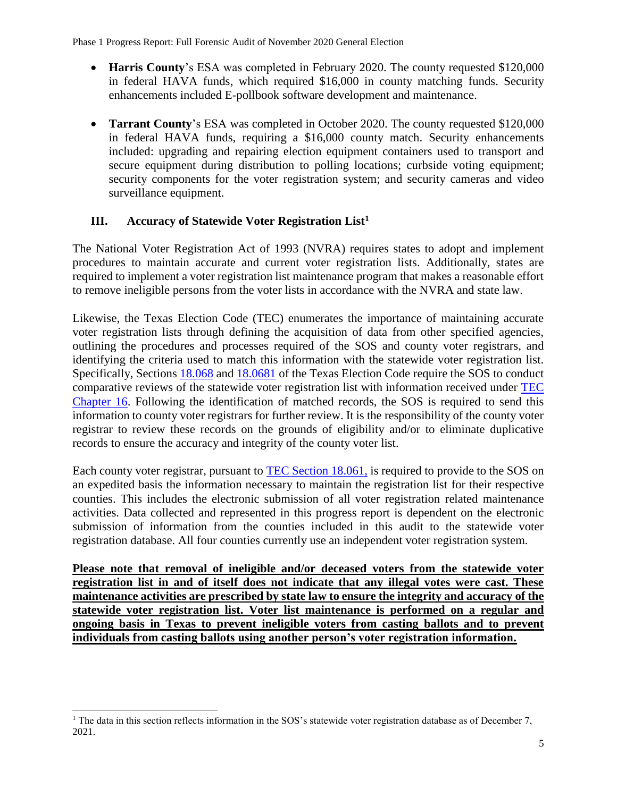- **Harris County**'s ESA was completed in February 2020. The county requested \$120,000 in federal HAVA funds, which required \$16,000 in county matching funds. Security enhancements included E-pollbook software development and maintenance.
- **Tarrant County**'s ESA was completed in October 2020. The county requested \$120,000 in federal HAVA funds, requiring a \$16,000 county match. Security enhancements included: upgrading and repairing election equipment containers used to transport and secure equipment during distribution to polling locations; curbside voting equipment; security components for the voter registration system; and security cameras and video surveillance equipment.

# **III. Accuracy of Statewide Voter Registration List<sup>1</sup>**

The National Voter Registration Act of 1993 (NVRA) requires states to adopt and implement procedures to maintain accurate and current voter registration lists. Additionally, states are required to implement a voter registration list maintenance program that makes a reasonable effort to remove ineligible persons from the voter lists in accordance with the NVRA and state law.

Likewise, the Texas Election Code (TEC) enumerates the importance of maintaining accurate voter registration lists through defining the acquisition of data from other specified agencies, outlining the procedures and processes required of the SOS and county voter registrars, and identifying the criteria used to match this information with the statewide voter registration list. Specifically, Sections [18.068](https://statutes.capitol.texas.gov/Docs/EL/htm/EL.18.htm#18.068) and [18.0681](https://statutes.capitol.texas.gov/Docs/EL/htm/EL.18.htm#18.0681) of the Texas Election Code require the SOS to conduct comparative reviews of the statewide voter registration list with information received under [TEC](https://statutes.capitol.texas.gov/Docs/EL/htm/EL.16.htm)  [Chapter 16.](https://statutes.capitol.texas.gov/Docs/EL/htm/EL.16.htm) Following the identification of matched records, the SOS is required to send this information to county voter registrars for further review. It is the responsibility of the county voter registrar to review these records on the grounds of eligibility and/or to eliminate duplicative records to ensure the accuracy and integrity of the county voter list.

Each county voter registrar, pursuant to [TEC Section 18.061,](https://statutes.capitol.texas.gov/Docs/EL/htm/EL.18.htm#18.061) is required to provide to the SOS on an expedited basis the information necessary to maintain the registration list for their respective counties. This includes the electronic submission of all voter registration related maintenance activities. Data collected and represented in this progress report is dependent on the electronic submission of information from the counties included in this audit to the statewide voter registration database. All four counties currently use an independent voter registration system.

**Please note that removal of ineligible and/or deceased voters from the statewide voter registration list in and of itself does not indicate that any illegal votes were cast. These maintenance activities are prescribed by state law to ensure the integrity and accuracy of the statewide voter registration list. Voter list maintenance is performed on a regular and ongoing basis in Texas to prevent ineligible voters from casting ballots and to prevent individuals from casting ballots using another person's voter registration information.**

 $\overline{a}$ 

<sup>&</sup>lt;sup>1</sup> The data in this section reflects information in the SOS's statewide voter registration database as of December 7, 2021.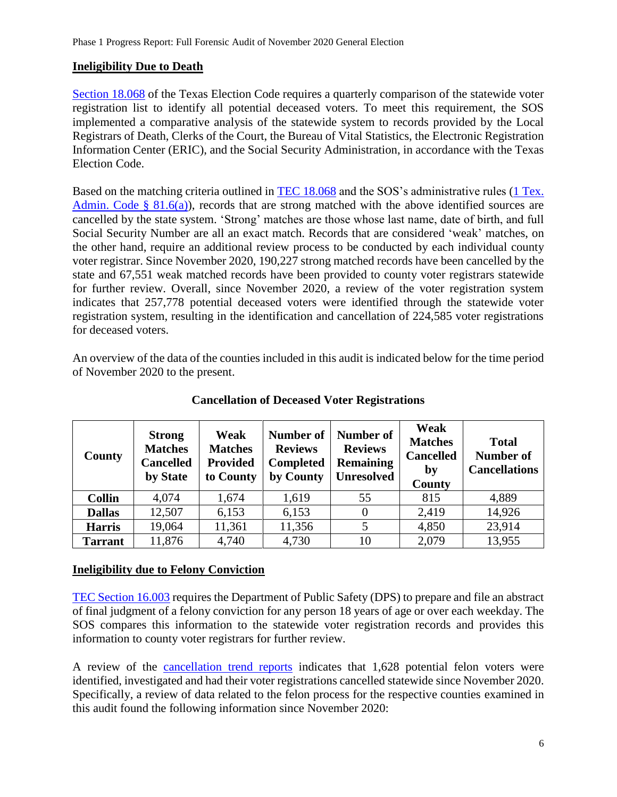# **Ineligibility Due to Death**

[Section 18.068](https://statutes.capitol.texas.gov/Docs/EL/htm/EL.18.htm#18.068) of the Texas Election Code requires a quarterly comparison of the statewide voter registration list to identify all potential deceased voters. To meet this requirement, the SOS implemented a comparative analysis of the statewide system to records provided by the Local Registrars of Death, Clerks of the Court, the Bureau of Vital Statistics, the Electronic Registration Information Center (ERIC), and the Social Security Administration, in accordance with the Texas Election Code.

Based on the matching criteria outlined in [TEC 18.068](https://statutes.capitol.texas.gov/Docs/EL/htm/EL.18.htm#18.068) and the SOS's administrative rules (1 Tex. [Admin. Code § 81.6\(a\)\)](https://texreg.sos.state.tx.us/public/readtac$ext.TacPage?sl=R&app=9&p_dir=&p_rloc=&p_tloc=&p_ploc=&pg=1&p_tac=&ti=1&pt=4&ch=81&rl=6), records that are strong matched with the above identified sources are cancelled by the state system. 'Strong' matches are those whose last name, date of birth, and full Social Security Number are all an exact match. Records that are considered 'weak' matches, on the other hand, require an additional review process to be conducted by each individual county voter registrar. Since November 2020, 190,227 strong matched records have been cancelled by the state and 67,551 weak matched records have been provided to county voter registrars statewide for further review. Overall, since November 2020, a review of the voter registration system indicates that 257,778 potential deceased voters were identified through the statewide voter registration system, resulting in the identification and cancellation of 224,585 voter registrations for deceased voters.

An overview of the data of the counties included in this audit is indicated below for the time period of November 2020 to the present.

| <b>County</b>  | <b>Strong</b><br><b>Matches</b><br><b>Cancelled</b><br>by State | Weak<br><b>Matches</b><br><b>Provided</b><br>to County | Number of<br><b>Reviews</b><br><b>Completed</b><br>by County | Number of<br><b>Reviews</b><br><b>Remaining</b><br><b>Unresolved</b> | Weak<br><b>Matches</b><br><b>Cancelled</b><br>by<br>County | <b>Total</b><br><b>Number of</b><br><b>Cancellations</b> |
|----------------|-----------------------------------------------------------------|--------------------------------------------------------|--------------------------------------------------------------|----------------------------------------------------------------------|------------------------------------------------------------|----------------------------------------------------------|
| <b>Collin</b>  | 4,074                                                           | 1,674                                                  | 1,619                                                        | 55                                                                   | 815                                                        | 4,889                                                    |
| <b>Dallas</b>  | 12,507                                                          | 6,153                                                  | 6,153                                                        | $\theta$                                                             | 2,419                                                      | 14,926                                                   |
| <b>Harris</b>  | 19,064                                                          | 11,361                                                 | 11,356                                                       | 5                                                                    | 4,850                                                      | 23,914                                                   |
| <b>Tarrant</b> | 11,876                                                          | 4,740                                                  | 4,730                                                        | 10                                                                   | 2,079                                                      | 13,955                                                   |

# **Cancellation of Deceased Voter Registrations**

# **Ineligibility due to Felony Conviction**

[TEC Section 16.003](https://statutes.capitol.texas.gov/Docs/EL/htm/EL.16.htm#16.003) requires the Department of Public Safety (DPS) to prepare and file an abstract of final judgment of a felony conviction for any person 18 years of age or over each weekday. The SOS compares this information to the statewide voter registration records and provides this information to county voter registrars for further review.

A review of the [cancellation trend reports](https://www.sos.texas.gov/elections/team/cancellation-trend-reports/index.shtml) indicates that 1,628 potential felon voters were identified, investigated and had their voter registrations cancelled statewide since November 2020. Specifically, a review of data related to the felon process for the respective counties examined in this audit found the following information since November 2020: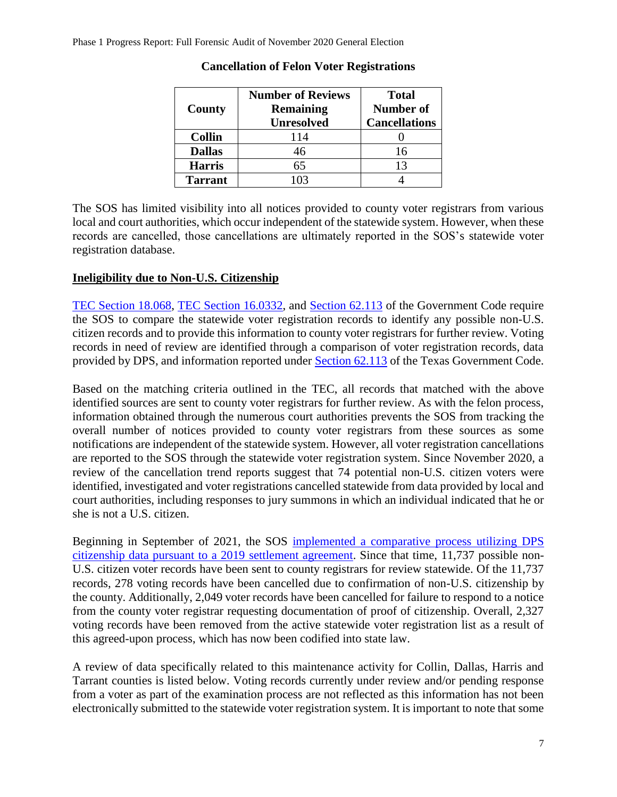|                | <b>Number of Reviews</b> | <b>Total</b>         |
|----------------|--------------------------|----------------------|
| County         | <b>Remaining</b>         | <b>Number of</b>     |
|                | <b>Unresolved</b>        | <b>Cancellations</b> |
| <b>Collin</b>  | 114                      |                      |
| <b>Dallas</b>  | 46                       | 16                   |
| <b>Harris</b>  | 65                       | 13                   |
| <b>Tarrant</b> | <u>ကြ</u>                |                      |

#### **Cancellation of Felon Voter Registrations**

The SOS has limited visibility into all notices provided to county voter registrars from various local and court authorities, which occur independent of the statewide system. However, when these records are cancelled, those cancellations are ultimately reported in the SOS's statewide voter registration database.

#### **Ineligibility due to Non-U.S. Citizenship**

[TEC Section 18.068,](https://statutes.capitol.texas.gov/Docs/EL/htm/EL.18.htm#18.068) [TEC Section 16.0332,](https://statutes.capitol.texas.gov/Docs/EL/htm/EL.16.htm#16.0332) and [Section 62.113](https://statutes.capitol.texas.gov/Docs/GV/htm/GV.62.htm#62.113) of the Government Code require the SOS to compare the statewide voter registration records to identify any possible non-U.S. citizen records and to provide this information to county voter registrars for further review. Voting records in need of review are identified through a comparison of voter registration records, data provided by DPS, and information reported under [Section 62.113](https://statutes.capitol.texas.gov/Docs/GV/htm/GV.62.htm#62.113) of the Texas Government Code.

Based on the matching criteria outlined in the TEC, all records that matched with the above identified sources are sent to county voter registrars for further review. As with the felon process, information obtained through the numerous court authorities prevents the SOS from tracking the overall number of notices provided to county voter registrars from these sources as some notifications are independent of the statewide system. However, all voter registration cancellations are reported to the SOS through the statewide voter registration system. Since November 2020, a review of the cancellation trend reports suggest that 74 potential non-U.S. citizen voters were identified, investigated and voter registrations cancelled statewide from data provided by local and court authorities, including responses to jury summons in which an individual indicated that he or she is not a U.S. citizen.

Beginning in September of 2021, the SOS [implemented a comparative process utilizing DPS](https://www.sos.texas.gov/elections/laws/advisory2021-11.shtml)  [citizenship data pursuant to a 2019 settlement agreement.](https://www.sos.texas.gov/elections/laws/advisory2021-11.shtml) Since that time, 11,737 possible non-U.S. citizen voter records have been sent to county registrars for review statewide. Of the 11,737 records, 278 voting records have been cancelled due to confirmation of non-U.S. citizenship by the county. Additionally, 2,049 voter records have been cancelled for failure to respond to a notice from the county voter registrar requesting documentation of proof of citizenship. Overall, 2,327 voting records have been removed from the active statewide voter registration list as a result of this agreed-upon process, which has now been codified into state law.

A review of data specifically related to this maintenance activity for Collin, Dallas, Harris and Tarrant counties is listed below. Voting records currently under review and/or pending response from a voter as part of the examination process are not reflected as this information has not been electronically submitted to the statewide voter registration system. It is important to note that some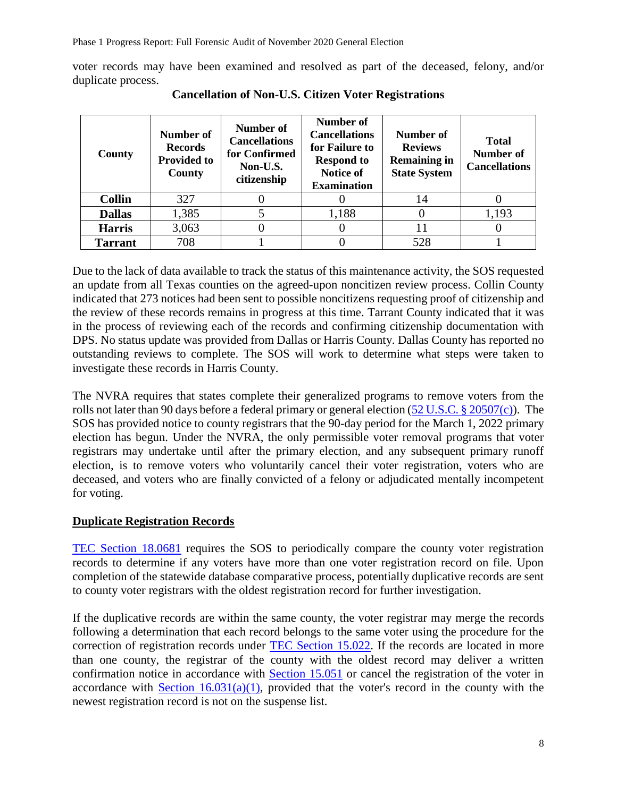voter records may have been examined and resolved as part of the deceased, felony, and/or duplicate process.

| County         | Number of<br><b>Records</b><br><b>Provided to</b><br>County | Number of<br><b>Cancellations</b><br>for Confirmed<br>Non-U.S.<br>citizenship | Number of<br><b>Cancellations</b><br>for Failure to<br><b>Respond to</b><br>Notice of<br><b>Examination</b> | Number of<br><b>Reviews</b><br><b>Remaining in</b><br><b>State System</b> | <b>Total</b><br><b>Number of</b><br><b>Cancellations</b> |
|----------------|-------------------------------------------------------------|-------------------------------------------------------------------------------|-------------------------------------------------------------------------------------------------------------|---------------------------------------------------------------------------|----------------------------------------------------------|
| <b>Collin</b>  | 327                                                         |                                                                               |                                                                                                             | 14                                                                        |                                                          |
| <b>Dallas</b>  | 1,385                                                       |                                                                               | 1,188                                                                                                       | 0                                                                         | 1,193                                                    |
| <b>Harris</b>  | 3,063                                                       |                                                                               |                                                                                                             | 11                                                                        |                                                          |
| <b>Tarrant</b> | 708                                                         |                                                                               |                                                                                                             | 528                                                                       |                                                          |

**Cancellation of Non-U.S. Citizen Voter Registrations**

Due to the lack of data available to track the status of this maintenance activity, the SOS requested an update from all Texas counties on the agreed-upon noncitizen review process. Collin County indicated that 273 notices had been sent to possible noncitizens requesting proof of citizenship and the review of these records remains in progress at this time. Tarrant County indicated that it was in the process of reviewing each of the records and confirming citizenship documentation with DPS. No status update was provided from Dallas or Harris County. Dallas County has reported no outstanding reviews to complete. The SOS will work to determine what steps were taken to investigate these records in Harris County.

The NVRA requires that states complete their generalized programs to remove voters from the rolls not later than 90 days before a federal primary or general election  $(52 U.S.C. \S 20507(c))$ . The SOS has provided notice to county registrars that the 90-day period for the March 1, 2022 primary election has begun. Under the NVRA, the only permissible voter removal programs that voter registrars may undertake until after the primary election, and any subsequent primary runoff election, is to remove voters who voluntarily cancel their voter registration, voters who are deceased, and voters who are finally convicted of a felony or adjudicated mentally incompetent for voting.

# **Duplicate Registration Records**

[TEC Section 18.0681](https://statutes.capitol.texas.gov/Docs/EL/htm/EL.18.htm#18.061) requires the SOS to periodically compare the county voter registration records to determine if any voters have more than one voter registration record on file. Upon completion of the statewide database comparative process, potentially duplicative records are sent to county voter registrars with the oldest registration record for further investigation.

If the duplicative records are within the same county, the voter registrar may merge the records following a determination that each record belongs to the same voter using the procedure for the correction of registration records under [TEC Section 15.022.](https://statutes.capitol.texas.gov/Docs/EL/htm/EL.15.htm#15.022) If the records are located in more than one county, the registrar of the county with the oldest record may deliver a written confirmation notice in accordance with [Section 15.051](https://statutes.capitol.texas.gov/Docs/EL/htm/EL.15.htm#15.051) or cancel the registration of the voter in accordance with Section  $16.031(a)(1)$ , provided that the voter's record in the county with the newest registration record is not on the suspense list.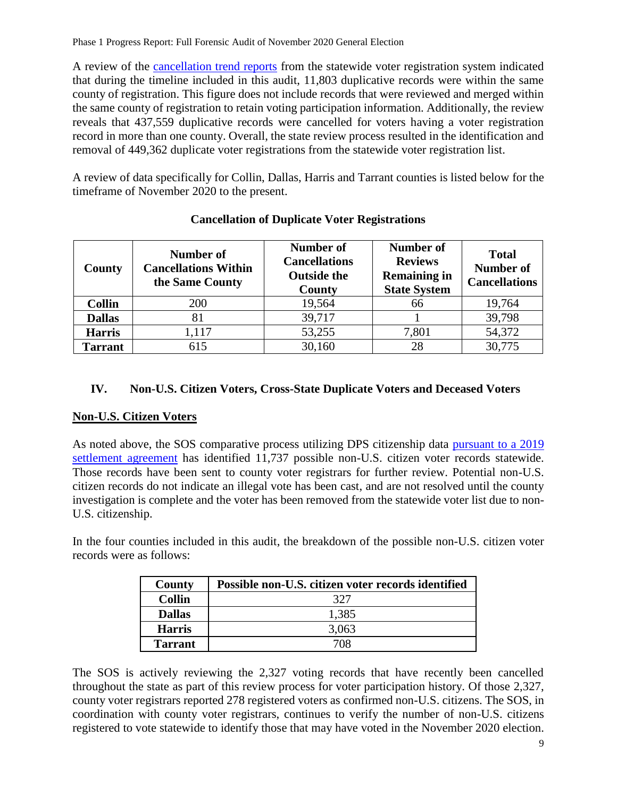A review of the [cancellation trend reports](https://www.sos.texas.gov/elections/team/cancellation-trend-reports/index.shtml) from the statewide voter registration system indicated that during the timeline included in this audit, 11,803 duplicative records were within the same county of registration. This figure does not include records that were reviewed and merged within the same county of registration to retain voting participation information. Additionally, the review reveals that 437,559 duplicative records were cancelled for voters having a voter registration record in more than one county. Overall, the state review process resulted in the identification and removal of 449,362 duplicate voter registrations from the statewide voter registration list.

A review of data specifically for Collin, Dallas, Harris and Tarrant counties is listed below for the timeframe of November 2020 to the present.

| County         | <b>Number of</b><br><b>Cancellations Within</b><br>the Same County | Number of<br><b>Cancellations</b><br><b>Outside the</b><br>County | <b>Number of</b><br><b>Reviews</b><br><b>Remaining in</b><br><b>State System</b> | <b>Total</b><br><b>Number of</b><br><b>Cancellations</b> |
|----------------|--------------------------------------------------------------------|-------------------------------------------------------------------|----------------------------------------------------------------------------------|----------------------------------------------------------|
| <b>Collin</b>  | <b>200</b>                                                         | 19,564                                                            | 66                                                                               | 19,764                                                   |
| <b>Dallas</b>  |                                                                    | 39,717                                                            |                                                                                  | 39,798                                                   |
| <b>Harris</b>  | 1,117                                                              | 53,255                                                            | 7,801                                                                            | 54,372                                                   |
| <b>Tarrant</b> | 615                                                                | 30,160                                                            | 28                                                                               | 30,775                                                   |

# **Cancellation of Duplicate Voter Registrations**

# **IV. Non-U.S. Citizen Voters, Cross-State Duplicate Voters and Deceased Voters**

# **Non-U.S. Citizen Voters**

As noted above, the SOS comparative process utilizing DPS citizenship data [pursuant to a 2019](https://www.sos.texas.gov/elections/laws/advisory2021-11.shtml)  [settlement agreement](https://www.sos.texas.gov/elections/laws/advisory2021-11.shtml) has identified 11,737 possible non-U.S. citizen voter records statewide. Those records have been sent to county voter registrars for further review. Potential non-U.S. citizen records do not indicate an illegal vote has been cast, and are not resolved until the county investigation is complete and the voter has been removed from the statewide voter list due to non-U.S. citizenship.

In the four counties included in this audit, the breakdown of the possible non-U.S. citizen voter records were as follows:

| County         | Possible non-U.S. citizen voter records identified |
|----------------|----------------------------------------------------|
| <b>Collin</b>  | 327                                                |
| <b>Dallas</b>  | 1,385                                              |
| <b>Harris</b>  | 3,063                                              |
| <b>Tarrant</b> | 708                                                |

The SOS is actively reviewing the 2,327 voting records that have recently been cancelled throughout the state as part of this review process for voter participation history. Of those 2,327, county voter registrars reported 278 registered voters as confirmed non-U.S. citizens. The SOS, in coordination with county voter registrars, continues to verify the number of non-U.S. citizens registered to vote statewide to identify those that may have voted in the November 2020 election.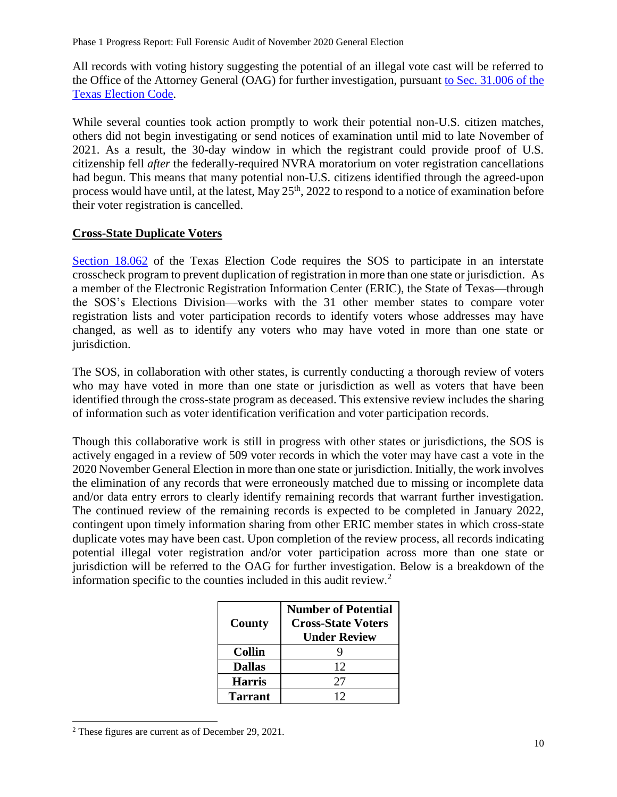All records with voting history suggesting the potential of an illegal vote cast will be referred to the Office of the Attorney General (OAG) for further investigation, pursuant [to Sec. 31.006 of the](https://statutes.capitol.texas.gov/docs/EL/htm/EL.31.htm#31.006)  [Texas Election Code.](https://statutes.capitol.texas.gov/docs/EL/htm/EL.31.htm#31.006)

While several counties took action promptly to work their potential non-U.S. citizen matches, others did not begin investigating or send notices of examination until mid to late November of 2021. As a result, the 30-day window in which the registrant could provide proof of U.S. citizenship fell *after* the federally-required NVRA moratorium on voter registration cancellations had begun. This means that many potential non-U.S. citizens identified through the agreed-upon process would have until, at the latest, May 25<sup>th</sup>, 2022 to respond to a notice of examination before their voter registration is cancelled.

#### **Cross-State Duplicate Voters**

[Section 18.062](https://statutes.capitol.texas.gov/Docs/EL/htm/EL.18.htm#18.062) of the Texas Election Code requires the SOS to participate in an interstate crosscheck program to prevent duplication of registration in more than one state or jurisdiction. As a member of the Electronic Registration Information Center (ERIC), the State of Texas—through the SOS's Elections Division—works with the 31 other member states to compare voter registration lists and voter participation records to identify voters whose addresses may have changed, as well as to identify any voters who may have voted in more than one state or jurisdiction.

The SOS, in collaboration with other states, is currently conducting a thorough review of voters who may have voted in more than one state or jurisdiction as well as voters that have been identified through the cross-state program as deceased. This extensive review includes the sharing of information such as voter identification verification and voter participation records.

Though this collaborative work is still in progress with other states or jurisdictions, the SOS is actively engaged in a review of 509 voter records in which the voter may have cast a vote in the 2020 November General Election in more than one state or jurisdiction. Initially, the work involves the elimination of any records that were erroneously matched due to missing or incomplete data and/or data entry errors to clearly identify remaining records that warrant further investigation. The continued review of the remaining records is expected to be completed in January 2022, contingent upon timely information sharing from other ERIC member states in which cross-state duplicate votes may have been cast. Upon completion of the review process, all records indicating potential illegal voter registration and/or voter participation across more than one state or jurisdiction will be referred to the OAG for further investigation. Below is a breakdown of the information specific to the counties included in this audit review.<sup>2</sup>

| County         | <b>Number of Potential</b><br><b>Cross-State Voters</b><br><b>Under Review</b> |
|----------------|--------------------------------------------------------------------------------|
| <b>Collin</b>  |                                                                                |
| <b>Dallas</b>  | 12                                                                             |
| <b>Harris</b>  | 27                                                                             |
| <b>Tarrant</b> | 12                                                                             |

 $\overline{a}$ <sup>2</sup> These figures are current as of December 29, 2021.